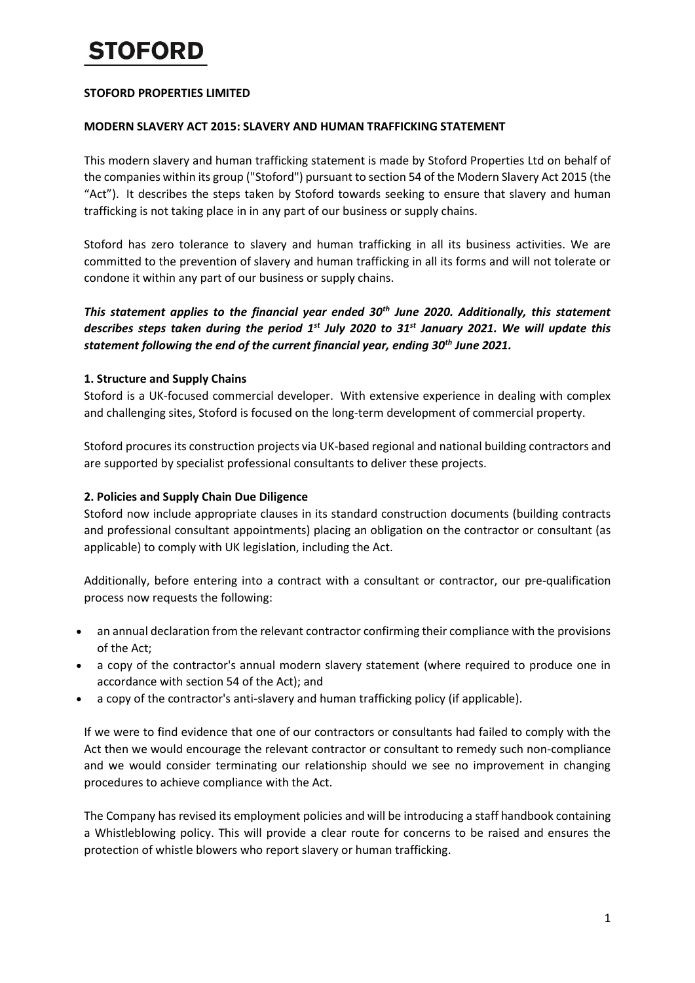# **iTOFORD**

### **STOFORD PROPERTIES LIMITED**

#### **MODERN SLAVERY ACT 2015: SLAVERY AND HUMAN TRAFFICKING STATEMENT**

This modern slavery and human trafficking statement is made by Stoford Properties Ltd on behalf of the companies within its group ("Stoford") pursuant to section 54 of the Modern Slavery Act 2015 (the "Act"). It describes the steps taken by Stoford towards seeking to ensure that slavery and human trafficking is not taking place in in any part of our business or supply chains.

Stoford has zero tolerance to slavery and human trafficking in all its business activities. We are committed to the prevention of slavery and human trafficking in all its forms and will not tolerate or condone it within any part of our business or supply chains.

*This statement applies to the financial year ended 30th June 2020. Additionally, this statement describes steps taken during the period 1st July 2020 to 31st January 2021. We will update this statement following the end of the current financial year, ending 30th June 2021.*

## **1. Structure and Supply Chains**

Stoford is a UK-focused commercial developer. With extensive experience in dealing with complex and challenging sites, Stoford is focused on the long-term development of commercial property.

Stoford procures its construction projects via UK-based regional and national building contractors and are supported by specialist professional consultants to deliver these projects.

### **2. Policies and Supply Chain Due Diligence**

Stoford now include appropriate clauses in its standard construction documents (building contracts and professional consultant appointments) placing an obligation on the contractor or consultant (as applicable) to comply with UK legislation, including the Act.

Additionally, before entering into a contract with a consultant or contractor, our pre-qualification process now requests the following:

- an annual declaration from the relevant contractor confirming their compliance with the provisions of the Act;
- a copy of the contractor's annual modern slavery statement (where required to produce one in accordance with section 54 of the Act); and
- a copy of the contractor's anti-slavery and human trafficking policy (if applicable).

If we were to find evidence that one of our contractors or consultants had failed to comply with the Act then we would encourage the relevant contractor or consultant to remedy such non-compliance and we would consider terminating our relationship should we see no improvement in changing procedures to achieve compliance with the Act.

The Company has revised its employment policies and will be introducing a staff handbook containing a Whistleblowing policy. This will provide a clear route for concerns to be raised and ensures the protection of whistle blowers who report slavery or human trafficking.